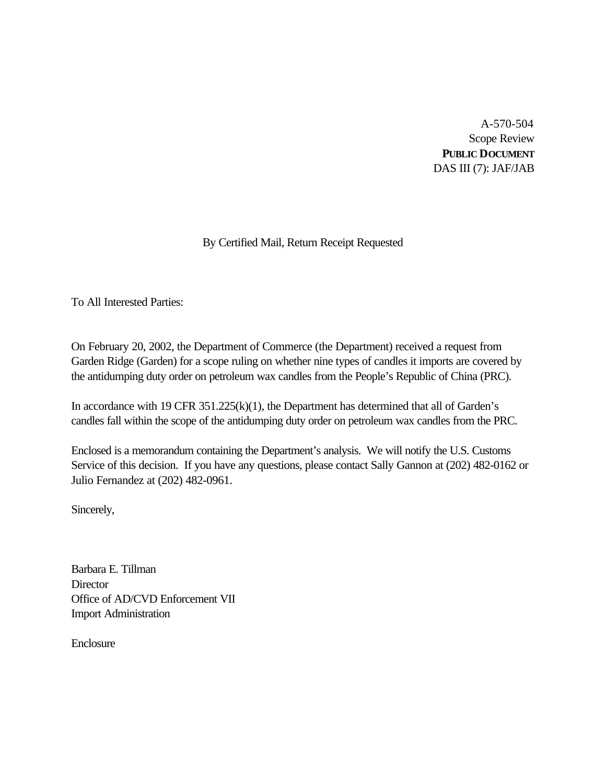A-570-504 Scope Review **PUBLIC DOCUMENT** DAS III (7): JAF/JAB

# By Certified Mail, Return Receipt Requested

To All Interested Parties:

On February 20, 2002, the Department of Commerce (the Department) received a request from Garden Ridge (Garden) for a scope ruling on whether nine types of candles it imports are covered by the antidumping duty order on petroleum wax candles from the People's Republic of China (PRC).

In accordance with 19 CFR 351.225(k)(1), the Department has determined that all of Garden's candles fall within the scope of the antidumping duty order on petroleum wax candles from the PRC.

Enclosed is a memorandum containing the Department's analysis. We will notify the U.S. Customs Service of this decision. If you have any questions, please contact Sally Gannon at (202) 482-0162 or Julio Fernandez at (202) 482-0961.

Sincerely,

Barbara E. Tillman **Director** Office of AD/CVD Enforcement VII Import Administration

**Enclosure**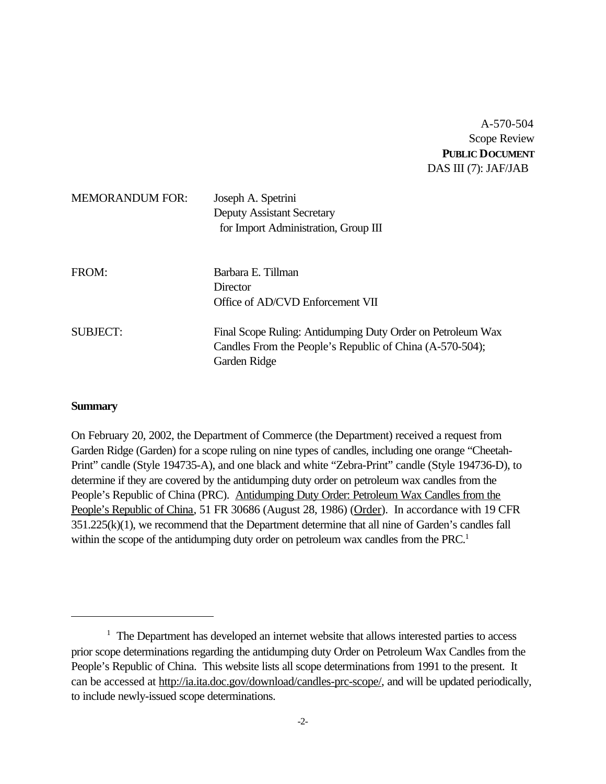A-570-504 Scope Review **PUBLIC DOCUMENT** DAS III (7): JAF/JAB

| <b>MEMORANDUM FOR:</b> | Joseph A. Spetrini<br><b>Deputy Assistant Secretary</b><br>for Import Administration, Group III |
|------------------------|-------------------------------------------------------------------------------------------------|
| FROM:                  | Barbara E. Tillman<br>Director                                                                  |
|                        | Office of AD/CVD Enforcement VII                                                                |
| <b>SUBJECT:</b>        | Final Scope Ruling: Antidumping Duty Order on Petroleum Wax                                     |
|                        | Candles From the People's Republic of China (A-570-504);                                        |
|                        | Garden Ridge                                                                                    |

#### **Summary**

On February 20, 2002, the Department of Commerce (the Department) received a request from Garden Ridge (Garden) for a scope ruling on nine types of candles, including one orange "Cheetah-Print" candle (Style 194735-A), and one black and white "Zebra-Print" candle (Style 194736-D), to determine if they are covered by the antidumping duty order on petroleum wax candles from the People's Republic of China (PRC). Antidumping Duty Order: Petroleum Wax Candles from the People's Republic of China, 51 FR 30686 (August 28, 1986) (Order). In accordance with 19 CFR 351.225(k)(1), we recommend that the Department determine that all nine of Garden's candles fall within the scope of the antidumping duty order on petroleum wax candles from the PRC.<sup>1</sup>

<sup>&</sup>lt;sup>1</sup> The Department has developed an internet website that allows interested parties to access prior scope determinations regarding the antidumping duty Order on Petroleum Wax Candles from the People's Republic of China. This website lists all scope determinations from 1991 to the present. It can be accessed at http://ia.ita.doc.gov/download/candles-prc-scope/, and will be updated periodically, to include newly-issued scope determinations.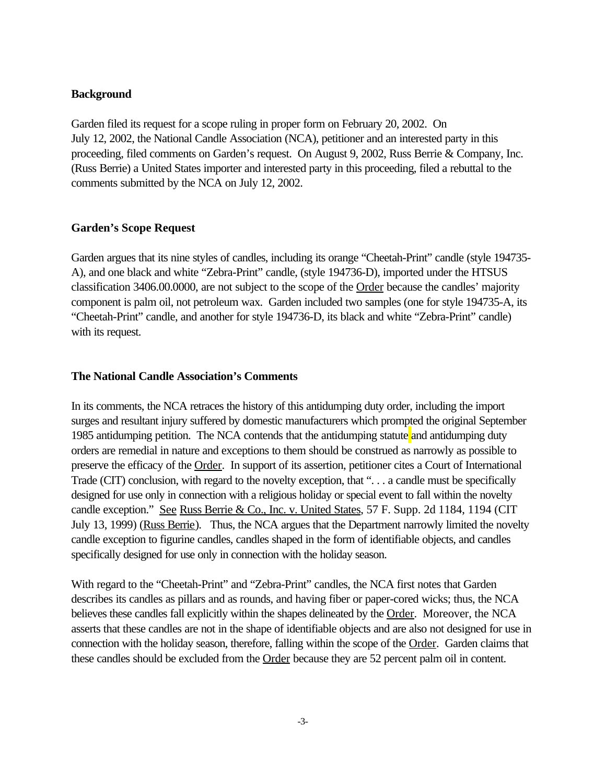## **Background**

Garden filed its request for a scope ruling in proper form on February 20, 2002. On July 12, 2002, the National Candle Association (NCA), petitioner and an interested party in this proceeding, filed comments on Garden's request. On August 9, 2002, Russ Berrie & Company, Inc. (Russ Berrie) a United States importer and interested party in this proceeding, filed a rebuttal to the comments submitted by the NCA on July 12, 2002.

## **Garden's Scope Request**

Garden argues that its nine styles of candles, including its orange "Cheetah-Print" candle (style 194735- A), and one black and white "Zebra-Print" candle, (style 194736-D), imported under the HTSUS classification 3406.00.0000, are not subject to the scope of the Order because the candles' majority component is palm oil, not petroleum wax. Garden included two samples (one for style 194735-A, its "Cheetah-Print" candle, and another for style 194736-D, its black and white "Zebra-Print" candle) with its request.

## **The National Candle Association's Comments**

In its comments, the NCA retraces the history of this antidumping duty order, including the import surges and resultant injury suffered by domestic manufacturers which prompted the original September 1985 antidumping petition. The NCA contends that the antidumping statute and antidumping duty orders are remedial in nature and exceptions to them should be construed as narrowly as possible to preserve the efficacy of the Order. In support of its assertion, petitioner cites a Court of International Trade (CIT) conclusion, with regard to the novelty exception, that "... a candle must be specifically designed for use only in connection with a religious holiday or special event to fall within the novelty candle exception." See Russ Berrie & Co., Inc. v. United States, 57 F. Supp. 2d 1184, 1194 (CIT July 13, 1999) (Russ Berrie). Thus, the NCA argues that the Department narrowly limited the novelty candle exception to figurine candles, candles shaped in the form of identifiable objects, and candles specifically designed for use only in connection with the holiday season.

With regard to the "Cheetah-Print" and "Zebra-Print" candles, the NCA first notes that Garden describes its candles as pillars and as rounds, and having fiber or paper-cored wicks; thus, the NCA believes these candles fall explicitly within the shapes delineated by the Order. Moreover, the NCA asserts that these candles are not in the shape of identifiable objects and are also not designed for use in connection with the holiday season, therefore, falling within the scope of the Order. Garden claims that these candles should be excluded from the Order because they are 52 percent palm oil in content.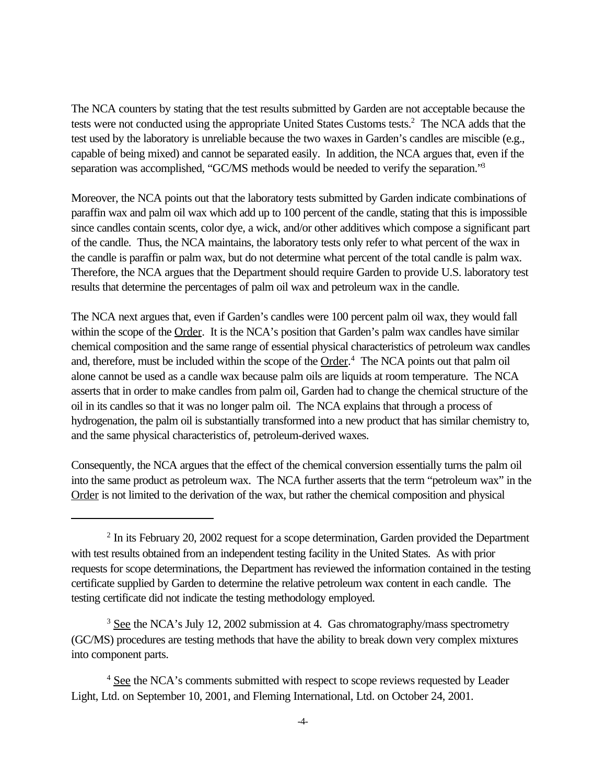The NCA counters by stating that the test results submitted by Garden are not acceptable because the tests were not conducted using the appropriate United States Customs tests.<sup>2</sup> The NCA adds that the test used by the laboratory is unreliable because the two waxes in Garden's candles are miscible (e.g., capable of being mixed) and cannot be separated easily. In addition, the NCA argues that, even if the separation was accomplished, "GC/MS methods would be needed to verify the separation."<sup>3</sup>

Moreover, the NCA points out that the laboratory tests submitted by Garden indicate combinations of paraffin wax and palm oil wax which add up to 100 percent of the candle, stating that this is impossible since candles contain scents, color dye, a wick, and/or other additives which compose a significant part of the candle. Thus, the NCA maintains, the laboratory tests only refer to what percent of the wax in the candle is paraffin or palm wax, but do not determine what percent of the total candle is palm wax. Therefore, the NCA argues that the Department should require Garden to provide U.S. laboratory test results that determine the percentages of palm oil wax and petroleum wax in the candle.

The NCA next argues that, even if Garden's candles were 100 percent palm oil wax, they would fall within the scope of the Order. It is the NCA's position that Garden's palm wax candles have similar chemical composition and the same range of essential physical characteristics of petroleum wax candles and, therefore, must be included within the scope of the Order.<sup>4</sup> The NCA points out that palm oil alone cannot be used as a candle wax because palm oils are liquids at room temperature. The NCA asserts that in order to make candles from palm oil, Garden had to change the chemical structure of the oil in its candles so that it was no longer palm oil. The NCA explains that through a process of hydrogenation, the palm oil is substantially transformed into a new product that has similar chemistry to, and the same physical characteristics of, petroleum-derived waxes.

Consequently, the NCA argues that the effect of the chemical conversion essentially turns the palm oil into the same product as petroleum wax. The NCA further asserts that the term "petroleum wax" in the Order is not limited to the derivation of the wax, but rather the chemical composition and physical

 $2$  In its February 20, 2002 request for a scope determination, Garden provided the Department with test results obtained from an independent testing facility in the United States. As with prior requests for scope determinations, the Department has reviewed the information contained in the testing certificate supplied by Garden to determine the relative petroleum wax content in each candle. The testing certificate did not indicate the testing methodology employed.

 $3 \text{ See the NCA's July 12, 2002 submission at 4. Gas chromatography/mass spectrometry}$ (GC/MS) procedures are testing methods that have the ability to break down very complex mixtures into component parts.

<sup>&</sup>lt;sup>4</sup> See the NCA's comments submitted with respect to scope reviews requested by Leader Light, Ltd. on September 10, 2001, and Fleming International, Ltd. on October 24, 2001.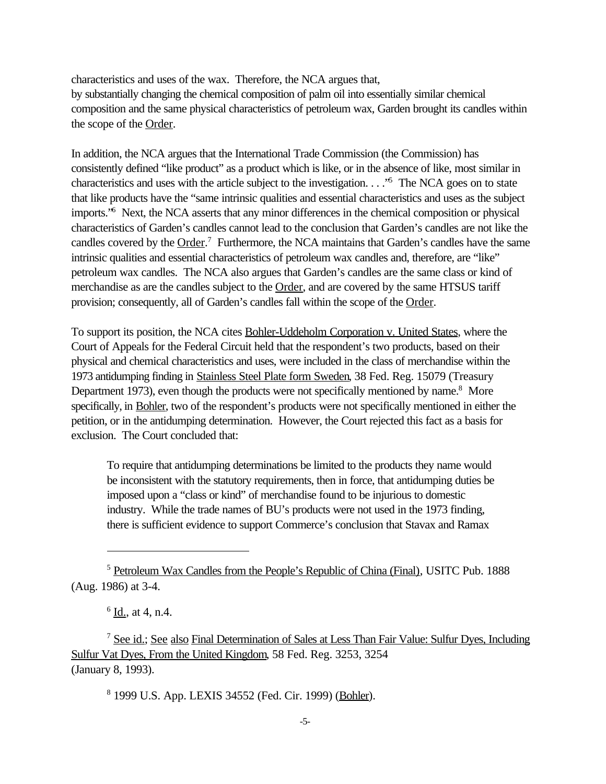characteristics and uses of the wax. Therefore, the NCA argues that, by substantially changing the chemical composition of palm oil into essentially similar chemical composition and the same physical characteristics of petroleum wax, Garden brought its candles within the scope of the Order.

In addition, the NCA argues that the International Trade Commission (the Commission) has consistently defined "like product" as a product which is like, or in the absence of like, most similar in characteristics and uses with the article subject to the investigation. . . . "<sup>5</sup> The NCA goes on to state that like products have the "same intrinsic qualities and essential characteristics and uses as the subject imports.<sup>'6</sup> Next, the NCA asserts that any minor differences in the chemical composition or physical characteristics of Garden's candles cannot lead to the conclusion that Garden's candles are not like the candles covered by the Order.<sup>7</sup> Furthermore, the NCA maintains that Garden's candles have the same intrinsic qualities and essential characteristics of petroleum wax candles and, therefore, are "like" petroleum wax candles. The NCA also argues that Garden's candles are the same class or kind of merchandise as are the candles subject to the Order, and are covered by the same HTSUS tariff provision; consequently, all of Garden's candles fall within the scope of the Order.

To support its position, the NCA cites Bohler-Uddeholm Corporation v. United States, where the Court of Appeals for the Federal Circuit held that the respondent's two products, based on their physical and chemical characteristics and uses, were included in the class of merchandise within the 1973 antidumping finding in Stainless Steel Plate form Sweden, 38 Fed. Reg. 15079 (Treasury Department 1973), even though the products were not specifically mentioned by name.<sup>8</sup> More specifically, in Bohler, two of the respondent's products were not specifically mentioned in either the petition, or in the antidumping determination. However, the Court rejected this fact as a basis for exclusion. The Court concluded that:

To require that antidumping determinations be limited to the products they name would be inconsistent with the statutory requirements, then in force, that antidumping duties be imposed upon a "class or kind" of merchandise found to be injurious to domestic industry. While the trade names of BU's products were not used in the 1973 finding, there is sufficient evidence to support Commerce's conclusion that Stavax and Ramax

<sup>8</sup> 1999 U.S. App. LEXIS 34552 (Fed. Cir. 1999) (Bohler).

<sup>5</sup> Petroleum Wax Candles from the People's Republic of China (Final), USITC Pub. 1888 (Aug. 1986) at 3-4.

 $6$  <u>Id.,</u> at 4, n.4.

<sup>7</sup> See id.; See also Final Determination of Sales at Less Than Fair Value: Sulfur Dyes, Including Sulfur Vat Dyes, From the United Kingdom, 58 Fed. Reg. 3253, 3254 (January 8, 1993).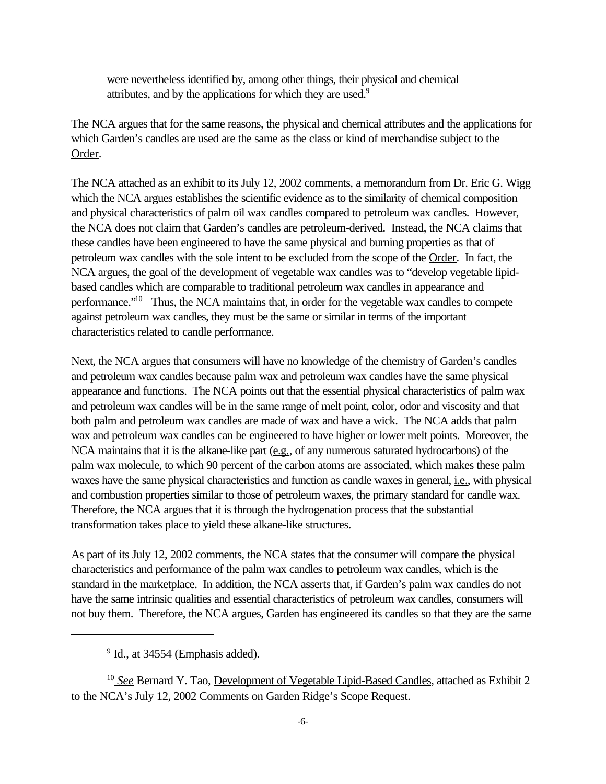were nevertheless identified by, among other things, their physical and chemical attributes, and by the applications for which they are used.<sup>9</sup>

The NCA argues that for the same reasons, the physical and chemical attributes and the applications for which Garden's candles are used are the same as the class or kind of merchandise subject to the Order.

The NCA attached as an exhibit to its July 12, 2002 comments, a memorandum from Dr. Eric G. Wigg which the NCA argues establishes the scientific evidence as to the similarity of chemical composition and physical characteristics of palm oil wax candles compared to petroleum wax candles. However, the NCA does not claim that Garden's candles are petroleum-derived. Instead, the NCA claims that these candles have been engineered to have the same physical and burning properties as that of petroleum wax candles with the sole intent to be excluded from the scope of the Order. In fact, the NCA argues, the goal of the development of vegetable wax candles was to "develop vegetable lipidbased candles which are comparable to traditional petroleum wax candles in appearance and performance."<sup>10</sup> Thus, the NCA maintains that, in order for the vegetable wax candles to compete against petroleum wax candles, they must be the same or similar in terms of the important characteristics related to candle performance.

Next, the NCA argues that consumers will have no knowledge of the chemistry of Garden's candles and petroleum wax candles because palm wax and petroleum wax candles have the same physical appearance and functions. The NCA points out that the essential physical characteristics of palm wax and petroleum wax candles will be in the same range of melt point, color, odor and viscosity and that both palm and petroleum wax candles are made of wax and have a wick. The NCA adds that palm wax and petroleum wax candles can be engineered to have higher or lower melt points. Moreover, the NCA maintains that it is the alkane-like part  $(\underline{e.g.})$ , of any numerous saturated hydrocarbons) of the palm wax molecule, to which 90 percent of the carbon atoms are associated, which makes these palm waxes have the same physical characteristics and function as candle waxes in general, *i.e.*, with physical and combustion properties similar to those of petroleum waxes, the primary standard for candle wax. Therefore, the NCA argues that it is through the hydrogenation process that the substantial transformation takes place to yield these alkane-like structures.

As part of its July 12, 2002 comments, the NCA states that the consumer will compare the physical characteristics and performance of the palm wax candles to petroleum wax candles, which is the standard in the marketplace. In addition, the NCA asserts that, if Garden's palm wax candles do not have the same intrinsic qualities and essential characteristics of petroleum wax candles, consumers will not buy them. Therefore, the NCA argues, Garden has engineered its candles so that they are the same

 $9 \underline{\text{Id}}$ , at 34554 (Emphasis added).

<sup>&</sup>lt;sup>10</sup> See Bernard Y. Tao, Development of Vegetable Lipid-Based Candles, attached as Exhibit 2 to the NCA's July 12, 2002 Comments on Garden Ridge's Scope Request.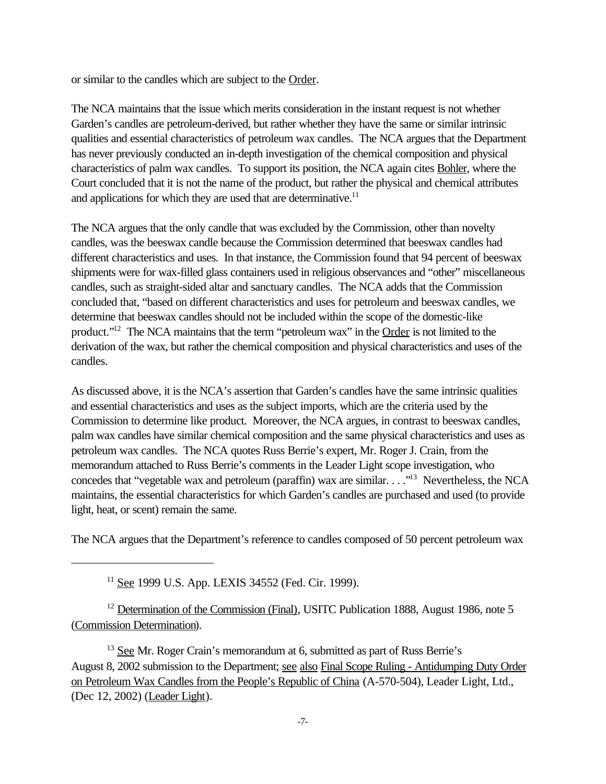or similar to the candles which are subject to the Order.

The NCA maintains that the issue which merits consideration in the instant request is not whether Garden's candles are petroleum-derived, but rather whether they have the same or similar intrinsic qualities and essential characteristics of petroleum wax candles. The NCA argues that the Department has never previously conducted an in-depth investigation of the chemical composition and physical characteristics of palm wax candles. To support its position, the NCA again cites Bohler, where the Court concluded that it is not the name of the product, but rather the physical and chemical attributes and applications for which they are used that are determinative. $11$ 

The NCA argues that the only candle that was excluded by the Commission, other than novelty candles, was the beeswax candle because the Commission determined that beeswax candles had different characteristics and uses. In that instance, the Commission found that 94 percent of beeswax shipments were for wax-filled glass containers used in religious observances and "other" miscellaneous candles, such as straight-sided altar and sanctuary candles. The NCA adds that the Commission concluded that, "based on different characteristics and uses for petroleum and beeswax candles, we determine that beeswax candles should not be included within the scope of the domestic-like product."<sup>12</sup> The NCA maintains that the term "petroleum wax" in the Order is not limited to the derivation of the wax, but rather the chemical composition and physical characteristics and uses of the candles.

As discussed above, it is the NCA's assertion that Garden's candles have the same intrinsic qualities and essential characteristics and uses as the subject imports, which are the criteria used by the Commission to determine like product. Moreover, the NCA argues, in contrast to beeswax candles, palm wax candles have similar chemical composition and the same physical characteristics and uses as petroleum wax candles. The NCA quotes Russ Berrie's expert, Mr. Roger J. Crain, from the memorandum attached to Russ Berrie's comments in the Leader Light scope investigation, who concedes that "vegetable wax and petroleum (paraffin) wax are similar. . . ."<sup>13</sup> Nevertheless, the NCA maintains, the essential characteristics for which Garden's candles are purchased and used (to provide light, heat, or scent) remain the same.

The NCA argues that the Department's reference to candles composed of 50 percent petroleum wax

<sup>11</sup> See 1999 U.S. App. LEXIS 34552 (Fed. Cir. 1999).

 $12$  Determination of the Commission (Final), USITC Publication 1888, August 1986, note 5 (Commission Determination).

 $13$  See Mr. Roger Crain's memorandum at 6, submitted as part of Russ Berrie's August 8, 2002 submission to the Department; see also Final Scope Ruling - Antidumping Duty Order on Petroleum Wax Candles from the People's Republic of China (A-570-504), Leader Light, Ltd., (Dec 12, 2002) (Leader Light).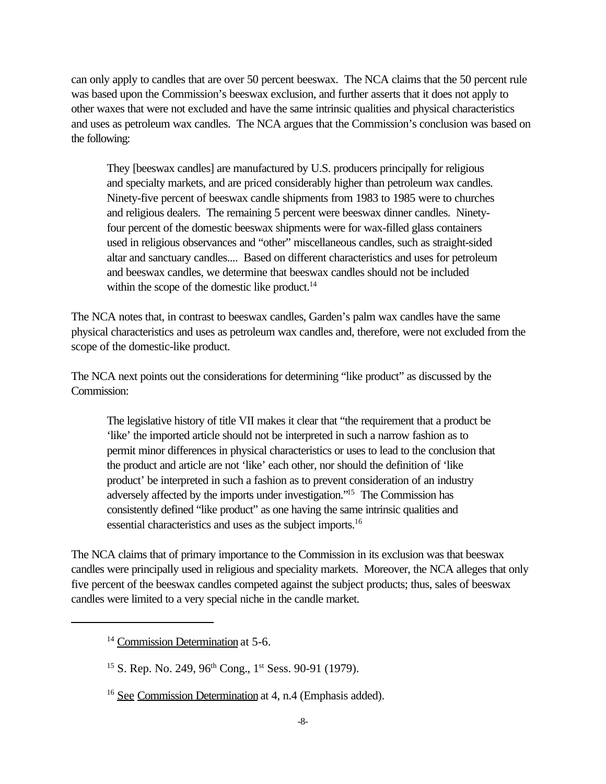can only apply to candles that are over 50 percent beeswax. The NCA claims that the 50 percent rule was based upon the Commission's beeswax exclusion, and further asserts that it does not apply to other waxes that were not excluded and have the same intrinsic qualities and physical characteristics and uses as petroleum wax candles. The NCA argues that the Commission's conclusion was based on the following:

They [beeswax candles] are manufactured by U.S. producers principally for religious and specialty markets, and are priced considerably higher than petroleum wax candles. Ninety-five percent of beeswax candle shipments from 1983 to 1985 were to churches and religious dealers. The remaining 5 percent were beeswax dinner candles. Ninetyfour percent of the domestic beeswax shipments were for wax-filled glass containers used in religious observances and "other" miscellaneous candles, such as straight-sided altar and sanctuary candles.... Based on different characteristics and uses for petroleum and beeswax candles, we determine that beeswax candles should not be included within the scope of the domestic like product. $14$ 

The NCA notes that, in contrast to beeswax candles, Garden's palm wax candles have the same physical characteristics and uses as petroleum wax candles and, therefore, were not excluded from the scope of the domestic-like product.

The NCA next points out the considerations for determining "like product" as discussed by the Commission:

The legislative history of title VII makes it clear that "the requirement that a product be 'like' the imported article should not be interpreted in such a narrow fashion as to permit minor differences in physical characteristics or uses to lead to the conclusion that the product and article are not 'like' each other, nor should the definition of 'like product' be interpreted in such a fashion as to prevent consideration of an industry adversely affected by the imports under investigation."<sup>15</sup> The Commission has consistently defined "like product" as one having the same intrinsic qualities and essential characteristics and uses as the subject imports.<sup>16</sup>

The NCA claims that of primary importance to the Commission in its exclusion was that beeswax candles were principally used in religious and speciality markets. Moreover, the NCA alleges that only five percent of the beeswax candles competed against the subject products; thus, sales of beeswax candles were limited to a very special niche in the candle market.

<sup>&</sup>lt;sup>14</sup> Commission Determination at 5-6.

<sup>&</sup>lt;sup>15</sup> S. Rep. No. 249, 96<sup>th</sup> Cong., 1<sup>st</sup> Sess. 90-91 (1979).

<sup>16</sup> See Commission Determination at 4, n.4 (Emphasis added).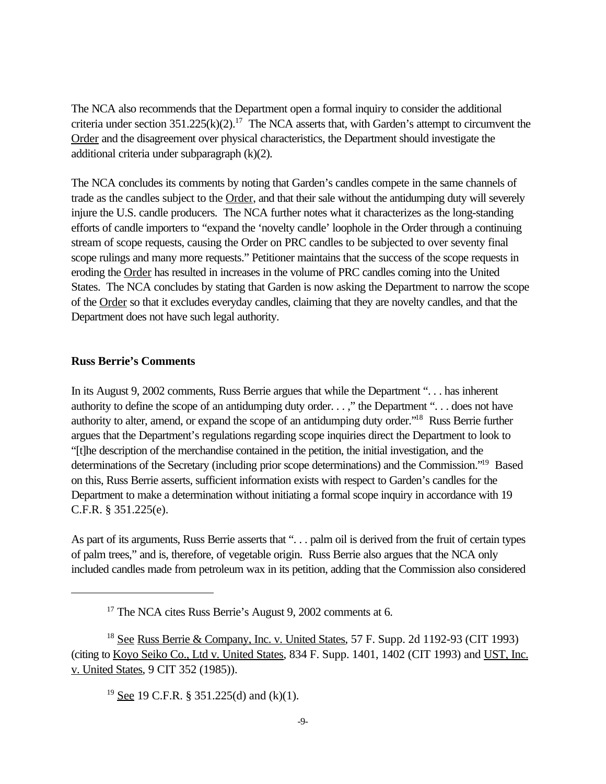The NCA also recommends that the Department open a formal inquiry to consider the additional criteria under section  $351.225(k)(2)$ .<sup>17</sup> The NCA asserts that, with Garden's attempt to circumvent the Order and the disagreement over physical characteristics, the Department should investigate the additional criteria under subparagraph (k)(2).

The NCA concludes its comments by noting that Garden's candles compete in the same channels of trade as the candles subject to the Order, and that their sale without the antidumping duty will severely injure the U.S. candle producers. The NCA further notes what it characterizes as the long-standing efforts of candle importers to "expand the 'novelty candle' loophole in the Order through a continuing stream of scope requests, causing the Order on PRC candles to be subjected to over seventy final scope rulings and many more requests." Petitioner maintains that the success of the scope requests in eroding the Order has resulted in increases in the volume of PRC candles coming into the United States. The NCA concludes by stating that Garden is now asking the Department to narrow the scope of the Order so that it excludes everyday candles, claiming that they are novelty candles, and that the Department does not have such legal authority.

#### **Russ Berrie's Comments**

In its August 9, 2002 comments, Russ Berrie argues that while the Department ". . . has inherent authority to define the scope of an antidumping duty order. . . ," the Department ". . . does not have authority to alter, amend, or expand the scope of an antidumping duty order."<sup>18</sup> Russ Berrie further argues that the Department's regulations regarding scope inquiries direct the Department to look to "[t]he description of the merchandise contained in the petition, the initial investigation, and the determinations of the Secretary (including prior scope determinations) and the Commission."<sup>19</sup> Based on this, Russ Berrie asserts, sufficient information exists with respect to Garden's candles for the Department to make a determination without initiating a formal scope inquiry in accordance with 19 C.F.R. § 351.225(e).

As part of its arguments, Russ Berrie asserts that "... palm oil is derived from the fruit of certain types of palm trees," and is, therefore, of vegetable origin. Russ Berrie also argues that the NCA only included candles made from petroleum wax in its petition, adding that the Commission also considered

<sup>19</sup> See 19 C.F.R. § 351.225(d) and (k)(1).

<sup>&</sup>lt;sup>17</sup> The NCA cites Russ Berrie's August 9, 2002 comments at 6.

<sup>&</sup>lt;sup>18</sup> See Russ Berrie & Company, Inc. v. United States, 57 F. Supp. 2d 1192-93 (CIT 1993) (citing to Koyo Seiko Co., Ltd v. United States, 834 F. Supp. 1401, 1402 (CIT 1993) and UST, Inc. v. United States, 9 CIT 352 (1985)).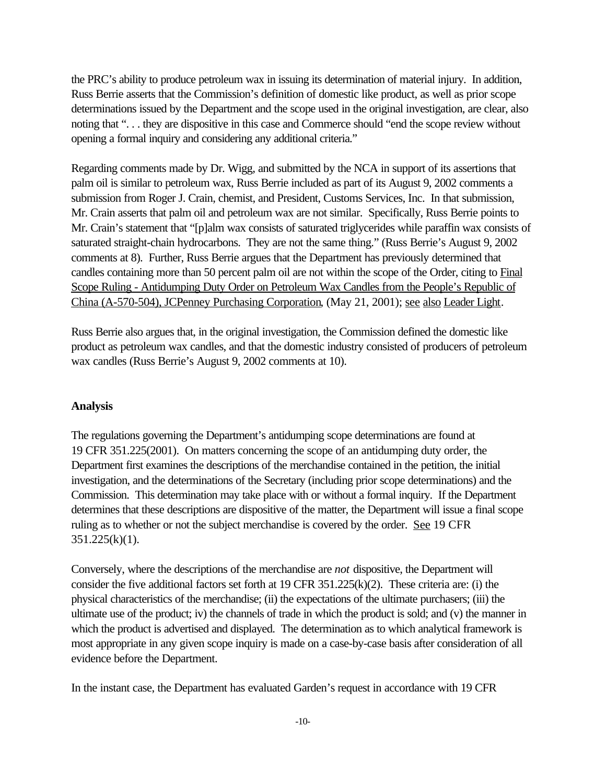the PRC's ability to produce petroleum wax in issuing its determination of material injury. In addition, Russ Berrie asserts that the Commission's definition of domestic like product, as well as prior scope determinations issued by the Department and the scope used in the original investigation, are clear, also noting that ". . . they are dispositive in this case and Commerce should "end the scope review without opening a formal inquiry and considering any additional criteria."

Regarding comments made by Dr. Wigg, and submitted by the NCA in support of its assertions that palm oil is similar to petroleum wax, Russ Berrie included as part of its August 9, 2002 comments a submission from Roger J. Crain, chemist, and President, Customs Services, Inc. In that submission, Mr. Crain asserts that palm oil and petroleum wax are not similar. Specifically, Russ Berrie points to Mr. Crain's statement that "[p]alm wax consists of saturated triglycerides while paraffin wax consists of saturated straight-chain hydrocarbons. They are not the same thing." (Russ Berrie's August 9, 2002 comments at 8). Further, Russ Berrie argues that the Department has previously determined that candles containing more than 50 percent palm oil are not within the scope of the Order, citing to Final Scope Ruling - Antidumping Duty Order on Petroleum Wax Candles from the People's Republic of China (A-570-504), JCPenney Purchasing Corporation, (May 21, 2001); see also Leader Light.

Russ Berrie also argues that, in the original investigation, the Commission defined the domestic like product as petroleum wax candles, and that the domestic industry consisted of producers of petroleum wax candles (Russ Berrie's August 9, 2002 comments at 10).

#### **Analysis**

The regulations governing the Department's antidumping scope determinations are found at 19 CFR 351.225(2001). On matters concerning the scope of an antidumping duty order, the Department first examines the descriptions of the merchandise contained in the petition, the initial investigation, and the determinations of the Secretary (including prior scope determinations) and the Commission. This determination may take place with or without a formal inquiry. If the Department determines that these descriptions are dispositive of the matter, the Department will issue a final scope ruling as to whether or not the subject merchandise is covered by the order. See 19 CFR  $351.225(k)(1)$ .

Conversely, where the descriptions of the merchandise are *not* dispositive, the Department will consider the five additional factors set forth at 19 CFR 351.225(k)(2). These criteria are: (i) the physical characteristics of the merchandise; (ii) the expectations of the ultimate purchasers; (iii) the ultimate use of the product; iv) the channels of trade in which the product is sold; and (v) the manner in which the product is advertised and displayed. The determination as to which analytical framework is most appropriate in any given scope inquiry is made on a case-by-case basis after consideration of all evidence before the Department.

In the instant case, the Department has evaluated Garden's request in accordance with 19 CFR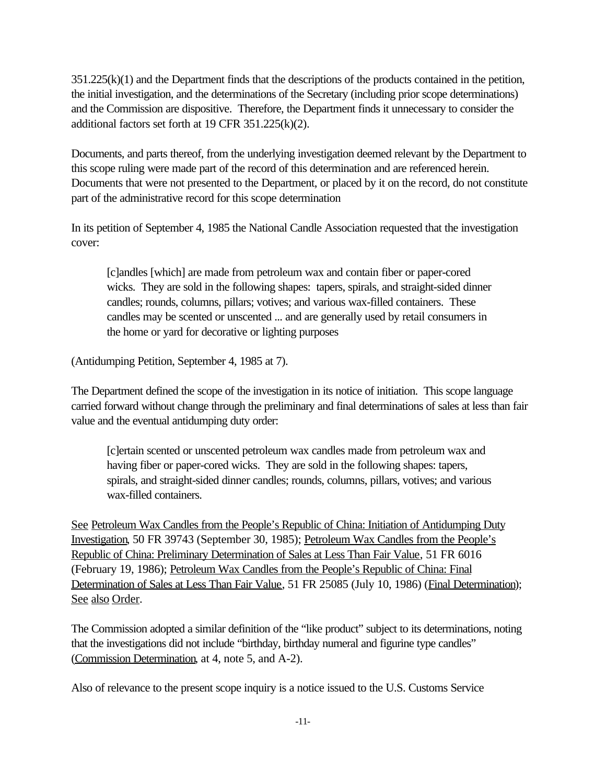351.225(k)(1) and the Department finds that the descriptions of the products contained in the petition, the initial investigation, and the determinations of the Secretary (including prior scope determinations) and the Commission are dispositive. Therefore, the Department finds it unnecessary to consider the additional factors set forth at 19 CFR 351.225(k)(2).

Documents, and parts thereof, from the underlying investigation deemed relevant by the Department to this scope ruling were made part of the record of this determination and are referenced herein. Documents that were not presented to the Department, or placed by it on the record, do not constitute part of the administrative record for this scope determination

In its petition of September 4, 1985 the National Candle Association requested that the investigation cover:

[c]andles [which] are made from petroleum wax and contain fiber or paper-cored wicks. They are sold in the following shapes: tapers, spirals, and straight-sided dinner candles; rounds, columns, pillars; votives; and various wax-filled containers. These candles may be scented or unscented ... and are generally used by retail consumers in the home or yard for decorative or lighting purposes

(Antidumping Petition, September 4, 1985 at 7).

The Department defined the scope of the investigation in its notice of initiation. This scope language carried forward without change through the preliminary and final determinations of sales at less than fair value and the eventual antidumping duty order:

[c]ertain scented or unscented petroleum wax candles made from petroleum wax and having fiber or paper-cored wicks. They are sold in the following shapes: tapers, spirals, and straight-sided dinner candles; rounds, columns, pillars, votives; and various wax-filled containers.

See Petroleum Wax Candles from the People's Republic of China: Initiation of Antidumping Duty Investigation, 50 FR 39743 (September 30, 1985); Petroleum Wax Candles from the People's Republic of China: Preliminary Determination of Sales at Less Than Fair Value, 51 FR 6016 (February 19, 1986); Petroleum Wax Candles from the People's Republic of China: Final Determination of Sales at Less Than Fair Value, 51 FR 25085 (July 10, 1986) (Final Determination); See also Order.

The Commission adopted a similar definition of the "like product" subject to its determinations, noting that the investigations did not include "birthday, birthday numeral and figurine type candles" (Commission Determination, at 4, note 5, and A-2).

Also of relevance to the present scope inquiry is a notice issued to the U.S. Customs Service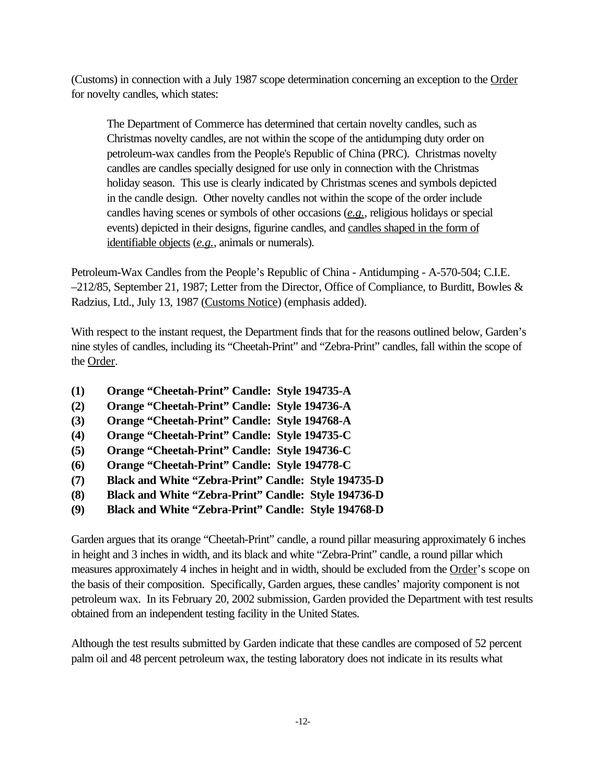(Customs) in connection with a July 1987 scope determination concerning an exception to the Order for novelty candles, which states:

The Department of Commerce has determined that certain novelty candles, such as Christmas novelty candles, are not within the scope of the antidumping duty order on petroleum-wax candles from the People's Republic of China (PRC). Christmas novelty candles are candles specially designed for use only in connection with the Christmas holiday season. This use is clearly indicated by Christmas scenes and symbols depicted in the candle design. Other novelty candles not within the scope of the order include candles having scenes or symbols of other occasions (*e.g.*, religious holidays or special events) depicted in their designs, figurine candles, and candles shaped in the form of identifiable objects (*e.g.*, animals or numerals).

Petroleum-Wax Candles from the People's Republic of China - Antidumping - A-570-504; C.I.E. –212/85, September 21, 1987; Letter from the Director, Office of Compliance, to Burditt, Bowles & Radzius, Ltd., July 13, 1987 (Customs Notice) (emphasis added).

With respect to the instant request, the Department finds that for the reasons outlined below, Garden's nine styles of candles, including its "Cheetah-Print" and "Zebra-Print" candles, fall within the scope of the Order.

- **(1) Orange "Cheetah-Print" Candle: Style 194735-A**
- **(2) Orange "Cheetah-Print" Candle: Style 194736-A**
- **(3) Orange "Cheetah-Print" Candle: Style 194768-A**
- **(4) Orange "Cheetah-Print" Candle: Style 194735-C**
- **(5) Orange "Cheetah-Print" Candle: Style 194736-C**
- **(6) Orange "Cheetah-Print" Candle: Style 194778-C**
- **(7) Black and White "Zebra-Print" Candle: Style 194735-D**
- **(8) Black and White "Zebra-Print" Candle: Style 194736-D**
- **(9) Black and White "Zebra-Print" Candle: Style 194768-D**

Garden argues that its orange "Cheetah-Print" candle, a round pillar measuring approximately 6 inches in height and 3 inches in width, and its black and white "Zebra-Print" candle, a round pillar which measures approximately 4 inches in height and in width, should be excluded from the Order's scope on the basis of their composition. Specifically, Garden argues, these candles' majority component is not petroleum wax. In its February 20, 2002 submission, Garden provided the Department with test results obtained from an independent testing facility in the United States.

Although the test results submitted by Garden indicate that these candles are composed of 52 percent palm oil and 48 percent petroleum wax, the testing laboratory does not indicate in its results what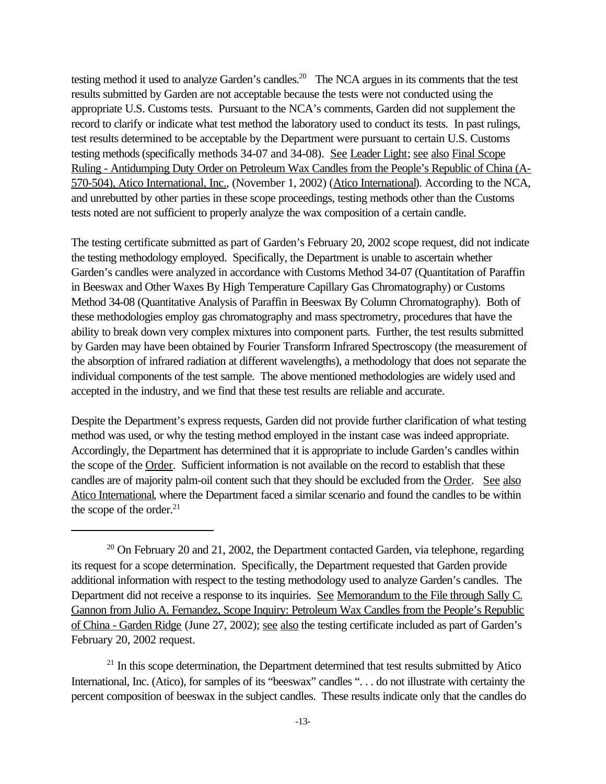testing method it used to analyze Garden's candles.<sup>20</sup> The NCA argues in its comments that the test results submitted by Garden are not acceptable because the tests were not conducted using the appropriate U.S. Customs tests. Pursuant to the NCA's comments, Garden did not supplement the record to clarify or indicate what test method the laboratory used to conduct its tests. In past rulings, test results determined to be acceptable by the Department were pursuant to certain U.S. Customs testing methods (specifically methods 34-07 and 34-08). See Leader Light; see also Final Scope Ruling - Antidumping Duty Order on Petroleum Wax Candles from the People's Republic of China (A-570-504), Atico International, Inc., (November 1, 2002) (Atico International). According to the NCA, and unrebutted by other parties in these scope proceedings, testing methods other than the Customs tests noted are not sufficient to properly analyze the wax composition of a certain candle.

The testing certificate submitted as part of Garden's February 20, 2002 scope request, did not indicate the testing methodology employed. Specifically, the Department is unable to ascertain whether Garden's candles were analyzed in accordance with Customs Method 34-07 (Quantitation of Paraffin in Beeswax and Other Waxes By High Temperature Capillary Gas Chromatography) or Customs Method 34-08 (Quantitative Analysis of Paraffin in Beeswax By Column Chromatography). Both of these methodologies employ gas chromatography and mass spectrometry, procedures that have the ability to break down very complex mixtures into component parts. Further, the test results submitted by Garden may have been obtained by Fourier Transform Infrared Spectroscopy (the measurement of the absorption of infrared radiation at different wavelengths), a methodology that does not separate the individual components of the test sample. The above mentioned methodologies are widely used and accepted in the industry, and we find that these test results are reliable and accurate.

Despite the Department's express requests, Garden did not provide further clarification of what testing method was used, or why the testing method employed in the instant case was indeed appropriate. Accordingly, the Department has determined that it is appropriate to include Garden's candles within the scope of the Order. Sufficient information is not available on the record to establish that these candles are of majority palm-oil content such that they should be excluded from the Order. See also Atico International, where the Department faced a similar scenario and found the candles to be within the scope of the order.<sup>21</sup>

 $21$  In this scope determination, the Department determined that test results submitted by Atico International, Inc. (Atico), for samples of its "beeswax" candles "... do not illustrate with certainty the percent composition of beeswax in the subject candles. These results indicate only that the candles do

 $20$  On February 20 and 21, 2002, the Department contacted Garden, via telephone, regarding its request for a scope determination. Specifically, the Department requested that Garden provide additional information with respect to the testing methodology used to analyze Garden's candles. The Department did not receive a response to its inquiries. See Memorandum to the File through Sally C. Gannon from Julio A. Fernandez, Scope Inquiry: Petroleum Wax Candles from the People's Republic of China - Garden Ridge (June 27, 2002); see also the testing certificate included as part of Garden's February 20, 2002 request.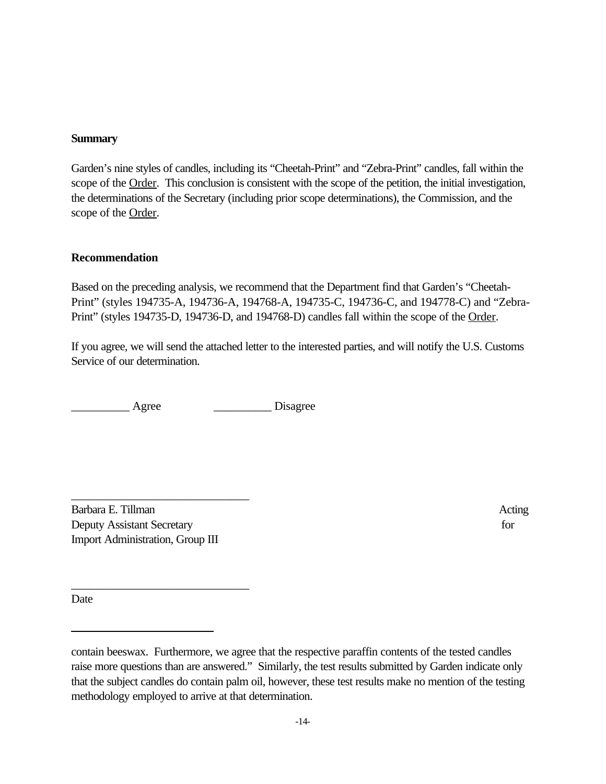### **Summary**

Garden's nine styles of candles, including its "Cheetah-Print" and "Zebra-Print" candles, fall within the scope of the <u>Order</u>. This conclusion is consistent with the scope of the petition, the initial investigation, the determinations of the Secretary (including prior scope determinations), the Commission, and the scope of the Order.

#### **Recommendation**

Based on the preceding analysis, we recommend that the Department find that Garden's "Cheetah-Print" (styles 194735-A, 194736-A, 194768-A, 194735-C, 194736-C, and 194778-C) and "Zebra-Print" (styles 194735-D, 194736-D, and 194768-D) candles fall within the scope of the Order.

If you agree, we will send the attached letter to the interested parties, and will notify the U.S. Customs Service of our determination.

Agree Disagree

Barbara E. Tillman Acting Deputy Assistant Secretary for Import Administration, Group III

\_\_\_\_\_\_\_\_\_\_\_\_\_\_\_\_\_\_\_\_\_\_\_\_\_\_\_\_\_\_

\_\_\_\_\_\_\_\_\_\_\_\_\_\_\_\_\_\_\_\_\_\_\_\_\_\_\_\_\_\_

Date

contain beeswax. Furthermore, we agree that the respective paraffin contents of the tested candles raise more questions than are answered." Similarly, the test results submitted by Garden indicate only that the subject candles do contain palm oil, however, these test results make no mention of the testing methodology employed to arrive at that determination.